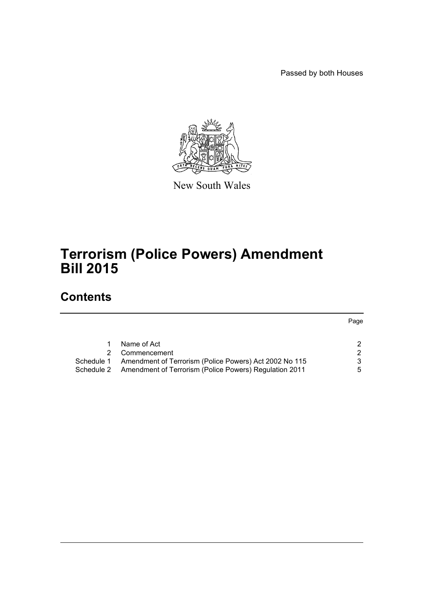Passed by both Houses



New South Wales

# **Terrorism (Police Powers) Amendment Bill 2015**

## **Contents**

Page

|            | Name of Act                                            |   |
|------------|--------------------------------------------------------|---|
|            | 2 Commencement                                         |   |
| Schedule 1 | Amendment of Terrorism (Police Powers) Act 2002 No 115 | 3 |
| Schedule 2 | Amendment of Terrorism (Police Powers) Regulation 2011 | 5 |
|            |                                                        |   |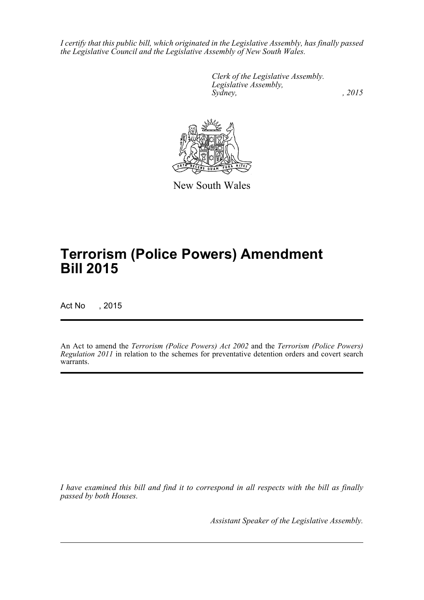*I certify that this public bill, which originated in the Legislative Assembly, has finally passed the Legislative Council and the Legislative Assembly of New South Wales.*

> *Clerk of the Legislative Assembly. Legislative Assembly, Sydney,* , 2015



New South Wales

# **Terrorism (Police Powers) Amendment Bill 2015**

Act No , 2015

An Act to amend the *Terrorism (Police Powers) Act 2002* and the *Terrorism (Police Powers) Regulation 2011* in relation to the schemes for preventative detention orders and covert search warrants.

*I have examined this bill and find it to correspond in all respects with the bill as finally passed by both Houses.*

*Assistant Speaker of the Legislative Assembly.*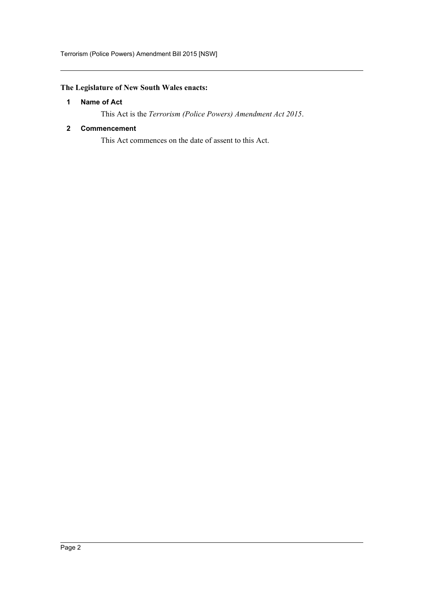### <span id="page-2-0"></span>**The Legislature of New South Wales enacts:**

#### **1 Name of Act**

This Act is the *Terrorism (Police Powers) Amendment Act 2015*.

#### <span id="page-2-1"></span>**2 Commencement**

This Act commences on the date of assent to this Act.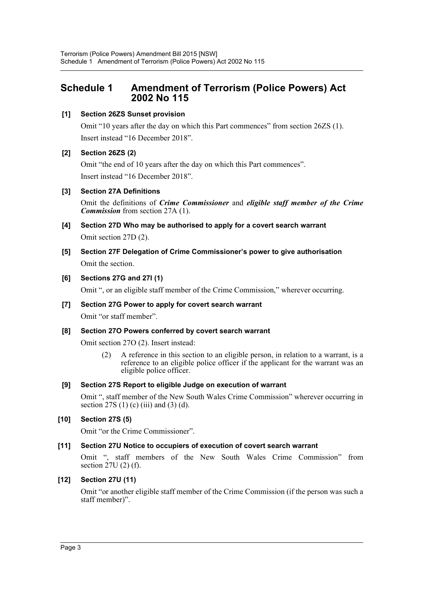### <span id="page-3-0"></span>**Schedule 1 Amendment of Terrorism (Police Powers) Act 2002 No 115**

#### **[1] Section 26ZS Sunset provision**

Omit "10 years after the day on which this Part commences" from section 26ZS (1). Insert instead "16 December 2018".

#### **[2] Section 26ZS (2)**

Omit "the end of 10 years after the day on which this Part commences". Insert instead "16 December 2018".

#### **[3] Section 27A Definitions**

Omit the definitions of *Crime Commissioner* and *eligible staff member of the Crime Commission* from section 27A (1).

- **[4] Section 27D Who may be authorised to apply for a covert search warrant** Omit section 27D (2).
- **[5] Section 27F Delegation of Crime Commissioner's power to give authorisation** Omit the section.

#### **[6] Sections 27G and 27I (1)**

Omit ", or an eligible staff member of the Crime Commission," wherever occurring.

#### **[7] Section 27G Power to apply for covert search warrant**

Omit "or staff member".

#### **[8] Section 27O Powers conferred by covert search warrant**

Omit section 27O (2). Insert instead:

(2) A reference in this section to an eligible person, in relation to a warrant, is a reference to an eligible police officer if the applicant for the warrant was an eligible police officer.

### **[9] Section 27S Report to eligible Judge on execution of warrant**

Omit ", staff member of the New South Wales Crime Commission" wherever occurring in section 27S (1) (c) (iii) and (3) (d).

### **[10] Section 27S (5)**

Omit "or the Crime Commissioner".

#### **[11] Section 27U Notice to occupiers of execution of covert search warrant**

Omit ", staff members of the New South Wales Crime Commission" from section 27U (2) (f).

#### **[12] Section 27U (11)**

Omit "or another eligible staff member of the Crime Commission (if the person was such a staff member)".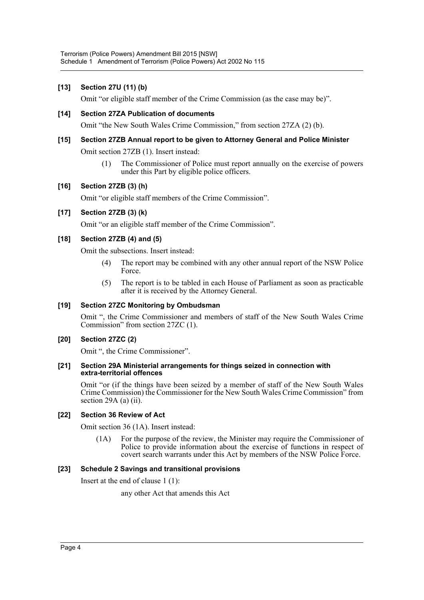#### **[13] Section 27U (11) (b)**

Omit "or eligible staff member of the Crime Commission (as the case may be)".

#### **[14] Section 27ZA Publication of documents**

Omit "the New South Wales Crime Commission," from section 27ZA (2) (b).

#### **[15] Section 27ZB Annual report to be given to Attorney General and Police Minister**

Omit section 27ZB (1). Insert instead:

(1) The Commissioner of Police must report annually on the exercise of powers under this Part by eligible police officers.

#### **[16] Section 27ZB (3) (h)**

Omit "or eligible staff members of the Crime Commission".

#### **[17] Section 27ZB (3) (k)**

Omit "or an eligible staff member of the Crime Commission".

#### **[18] Section 27ZB (4) and (5)**

Omit the subsections. Insert instead:

- (4) The report may be combined with any other annual report of the NSW Police Force.
- (5) The report is to be tabled in each House of Parliament as soon as practicable after it is received by the Attorney General.

#### **[19] Section 27ZC Monitoring by Ombudsman**

Omit ", the Crime Commissioner and members of staff of the New South Wales Crime Commission" from section 27ZC (1).

#### **[20] Section 27ZC (2)**

Omit ", the Crime Commissioner".

#### **[21] Section 29A Ministerial arrangements for things seized in connection with extra-territorial offences**

Omit "or (if the things have been seized by a member of staff of the New South Wales Crime Commission) the Commissioner for the New South Wales Crime Commission" from section 29A (a) (ii).

#### **[22] Section 36 Review of Act**

Omit section 36 (1A). Insert instead:

(1A) For the purpose of the review, the Minister may require the Commissioner of Police to provide information about the exercise of functions in respect of covert search warrants under this Act by members of the NSW Police Force.

#### **[23] Schedule 2 Savings and transitional provisions**

Insert at the end of clause 1 (1):

any other Act that amends this Act